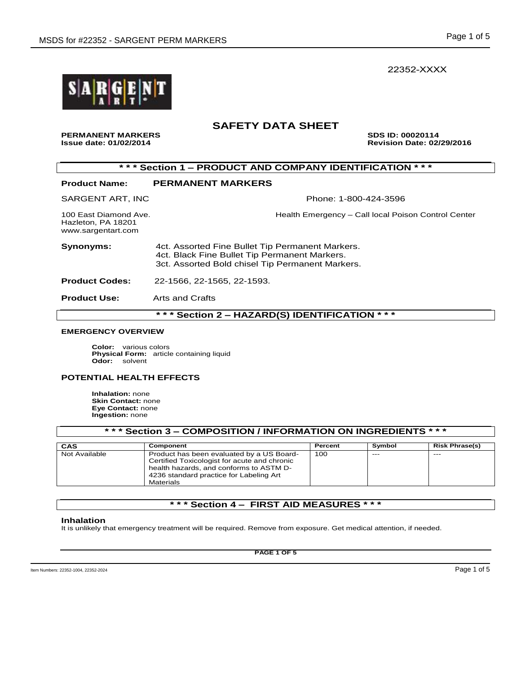22352-XXXX



# **SAFETY DATA SHEET**

PERMANENT MARKERS **SUS ID: 00020114**<br>
Issue date: 01/02/2014 **Issue date: 01/02/2014 Revision Date: 02/29/2016** 

| *** Section 1 – PRODUCT AND COMPANY IDENTIFICATION *** |  |
|--------------------------------------------------------|--|
|--------------------------------------------------------|--|

| <b>Product Name:</b>                                              | <b>PERMANENT MARKERS</b>                                                                                                                              |  |  |  |
|-------------------------------------------------------------------|-------------------------------------------------------------------------------------------------------------------------------------------------------|--|--|--|
| SARGENT ART, INC                                                  | Phone: 1-800-424-3596                                                                                                                                 |  |  |  |
| 100 East Diamond Ave.<br>Hazleton, PA 18201<br>www.sargentart.com | Health Emergency - Call local Poison Control Center                                                                                                   |  |  |  |
| <b>Synonyms:</b>                                                  | 4ct. Assorted Fine Bullet Tip Permanent Markers.<br>4ct. Black Fine Bullet Tip Permanent Markers.<br>3ct. Assorted Bold chisel Tip Permanent Markers. |  |  |  |
| <b>Product Codes:</b>                                             | 22-1566, 22-1565, 22-1593.                                                                                                                            |  |  |  |
| <b>Product Use:</b>                                               | Arts and Crafts                                                                                                                                       |  |  |  |
| * * *<br>* * *<br>Section 2 - HAZARD(S) IDENTIFICATION            |                                                                                                                                                       |  |  |  |

### **EMERGENCY OVERVIEW**

**Color:** various colors **Physical Form:** article containing liquid **Odor:** solvent

### **POTENTIAL HEALTH EFFECTS**

**Inhalation:** none **Skin Contact:** none **Eye Contact:** none **Ingestion:** none

| *** Section 3 – COMPOSITION / INFORMATION ON INGREDIENTS *** |                                                                                                                                                                                                     |         |        |                       |  |
|--------------------------------------------------------------|-----------------------------------------------------------------------------------------------------------------------------------------------------------------------------------------------------|---------|--------|-----------------------|--|
| CAS                                                          | Component                                                                                                                                                                                           | Percent | Symbol | <b>Risk Phrase(s)</b> |  |
| Not Available                                                | Product has been evaluated by a US Board-<br>Certified Toxicologist for acute and chronic<br>health hazards, and conforms to ASTM D-<br>4236 standard practice for Labeling Art<br><b>Materials</b> | 100     | $---$  | $---$                 |  |

### **\* \* \* Section 4 – FIRST AID MEASURES \* \* \***

#### **Inhalation**

It is unlikely that emergency treatment will be required. Remove from exposure. Get medical attention, if needed.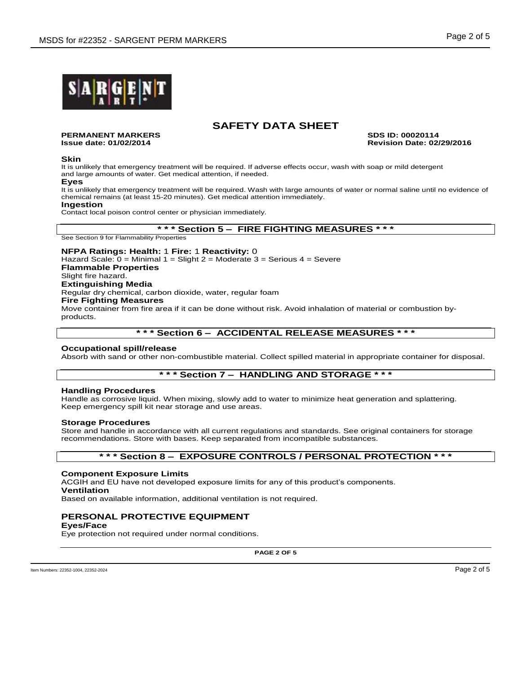

**PERMANENT MARKERS SDS ID: 00020114**

**Issue date: 01/02/2014 Revision Date: 02/29/2016**

#### **Skin**

It is unlikely that emergency treatment will be required. If adverse effects occur, wash with soap or mild detergent and large amounts of water. Get medical attention, if needed.

#### **Eyes**

It is unlikely that emergency treatment will be required. Wash with large amounts of water or normal saline until no evidence of chemical remains (at least 15-20 minutes). Get medical attention immediately.

**Ingestion**

Contact local poison control center or physician immediately.

## **\* \* \* Section 5 – FIRE FIGHTING MEASURES \* \* \***

See Section 9 for Flammability Properties

**NFPA Ratings: Health:** 1 **Fire:** 1 **Reactivity:** 0 Hazard Scale:  $0 =$  Minimal 1 = Slight 2 = Moderate 3 = Serious 4 = Severe **Flammable Properties** Slight fire hazard. **Extinguishing Media** Regular dry chemical, carbon dioxide, water, regular foam **Fire Fighting Measures** Move container from fire area if it can be done without risk. Avoid inhalation of material or combustion by-

products.

### **\* \* \* Section 6 – ACCIDENTAL RELEASE MEASURES \* \* \***

#### **Occupational spill/release**

Absorb with sand or other non-combustible material. Collect spilled material in appropriate container for disposal.

## **\* \* \* Section 7 – HANDLING AND STORAGE \* \* \***

#### **Handling Procedures**

Handle as corrosive liquid. When mixing, slowly add to water to minimize heat generation and splattering. Keep emergency spill kit near storage and use areas.

#### **Storage Procedures**

Store and handle in accordance with all current regulations and standards. See original containers for storage recommendations. Store with bases. Keep separated from incompatible substances.

### **\* \* \* Section 8 – EXPOSURE CONTROLS / PERSONAL PROTECTION \* \* \***

#### **Component Exposure Limits**

ACGIH and EU have not developed exposure limits for any of this product's components. **Ventilation**

Based on available information, additional ventilation is not required.

### **PERSONAL PROTECTIVE EQUIPMENT**

**Eyes/Face**

Eye protection not required under normal conditions.

**PAGE 2 OF 5**

Item Numbers: 22352-1004, 22352-2024 Page 2 of 5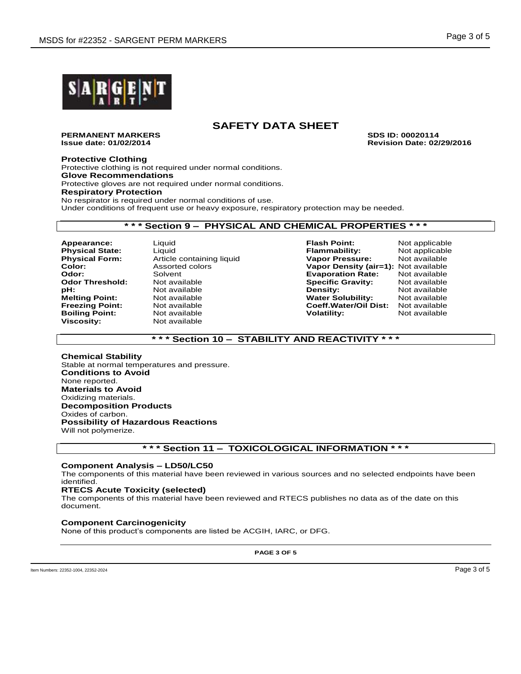

**PERMANENT MARKERS SDS ID: 00020114**

**Issue date: 01/02/2014 Revision Date: 02/29/2016**

#### **Protective Clothing**

Protective clothing is not required under normal conditions. **Glove Recommendations** Protective gloves are not required under normal conditions. **Respiratory Protection** No respirator is required under normal conditions of use. Under conditions of frequent use or heavy exposure, respiratory protection may be needed.

### **\* \* \* Section 9 – PHYSICAL AND CHEMICAL PROPERTIES \* \* \***

**Article containing liquid Not available Boiling Point:** Not available **Volatility:** Not available **Viscosity:** Not available **Viscosity:** Not available **Not available** 

**Appearance:** Liquid **Flash Point:** Not applicable **Physical State:** Liquid Liquid **Flammability:** Not applicable **Physical Form:** Article containing liquid **Flammability:** Not available **Color:** Assorted colors **Vapor Density (air=1):** Not available **Odor:** Solvent **Evaporation Rate:** Not available **Odor Threshold:** Not available **Specific Gravity:** Not available **Melting Point:** Not available **Water Solubility:** Not available **Freezing Point:** Not available **Coeff.Water/Oil Dist:** Not available

# **\* \* \* Section 10 – STABILITY AND REACTIVITY \* \* \***

**Chemical Stability** Stable at normal temperatures and pressure. **Conditions to Avoid** None reported. **Materials to Avoid** Oxidizing materials. **Decomposition Products** Oxides of carbon. **Possibility of Hazardous Reactions** Will not polymerize.

### **\* \* \* Section 11 – TOXICOLOGICAL INFORMATION \* \* \***

### **Component Analysis – LD50/LC50**

The components of this material have been reviewed in various sources and no selected endpoints have been identified.

### **RTECS Acute Toxicity (selected)**

The components of this material have been reviewed and RTECS publishes no data as of the date on this document.

#### **Component Carcinogenicity**

None of this product's components are listed be ACGIH, IARC, or DFG.

**PAGE 3 OF 5**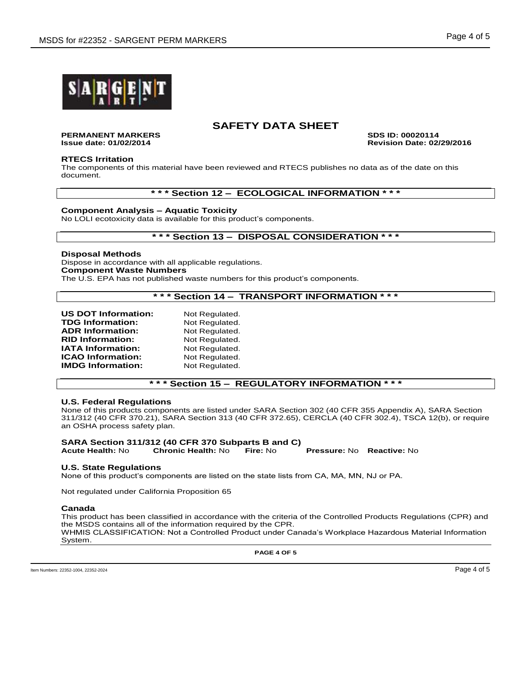

**PERMANENT MARKERS SDS ID: 00020114**

**Issue date: 01/02/2014 Revision Date: 02/29/2016**

#### **RTECS Irritation**

The components of this material have been reviewed and RTECS publishes no data as of the date on this document.

### **\* \* \* Section 12 – ECOLOGICAL INFORMATION \* \* \***

### **Component Analysis – Aquatic Toxicity**

No LOLI ecotoxicity data is available for this product's components.

### **\* \* \* Section 13 – DISPOSAL CONSIDERATION \* \* \***

#### **Disposal Methods**

Dispose in accordance with all applicable regulations. **Component Waste Numbers** The U.S. EPA has not published waste numbers for this product's components.

## **\* \* \* Section 14 – TRANSPORT INFORMATION \* \* \***

| <b>US DOT Information:</b> | Not Regulated. |
|----------------------------|----------------|
| <b>TDG Information:</b>    | Not Regulated. |
| <b>ADR Information:</b>    | Not Regulated. |
| <b>RID Information:</b>    | Not Regulated. |
| <b>IATA Information:</b>   | Not Regulated. |
| <b>ICAO Information:</b>   | Not Regulated. |
| <b>IMDG Information:</b>   | Not Regulated. |

### **\* \* \* Section 15 – REGULATORY INFORMATION \* \* \***

#### **U.S. Federal Regulations**

None of this products components are listed under SARA Section 302 (40 CFR 355 Appendix A), SARA Section 311/312 (40 CFR 370.21), SARA Section 313 (40 CFR 372.65), CERCLA (40 CFR 302.4), TSCA 12(b), or require an OSHA process safety plan.

#### **SARA Section 311/312 (40 CFR 370 Subparts B and C) Acute Health:** No **Chronic Health:** No **Fire:** No **Pressure:** No **Reactive:** No

**U.S. State Regulations**

None of this product's components are listed on the state lists from CA, MA, MN, NJ or PA.

Not regulated under California Proposition 65

#### **Canada**

This product has been classified in accordance with the criteria of the Controlled Products Regulations (CPR) and the MSDS contains all of the information required by the CPR. WHMIS CLASSIFICATION: Not a Controlled Product under Canada's Workplace Hazardous Material Information System.